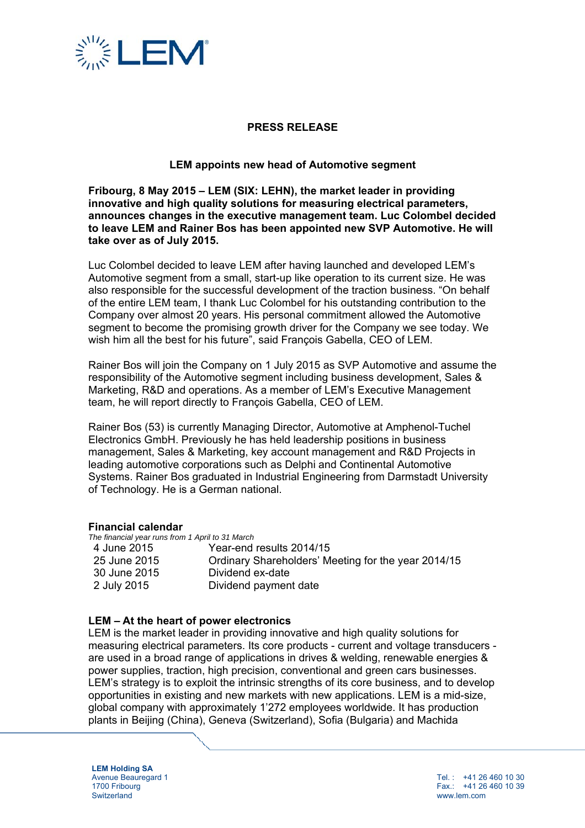

# **PRESS RELEASE**

## **LEM appoints new head of Automotive segment**

**Fribourg, 8 May 2015 – LEM (SIX: LEHN), the market leader in providing innovative and high quality solutions for measuring electrical parameters, announces changes in the executive management team. Luc Colombel decided to leave LEM and Rainer Bos has been appointed new SVP Automotive. He will take over as of July 2015.** 

Luc Colombel decided to leave LEM after having launched and developed LEM's Automotive segment from a small, start-up like operation to its current size. He was also responsible for the successful development of the traction business. "On behalf of the entire LEM team, I thank Luc Colombel for his outstanding contribution to the Company over almost 20 years. His personal commitment allowed the Automotive segment to become the promising growth driver for the Company we see today. We wish him all the best for his future", said François Gabella, CEO of LEM.

Rainer Bos will join the Company on 1 July 2015 as SVP Automotive and assume the responsibility of the Automotive segment including business development, Sales & Marketing, R&D and operations. As a member of LEM's Executive Management team, he will report directly to François Gabella, CEO of LEM.

Rainer Bos (53) is currently Managing Director, Automotive at Amphenol-Tuchel Electronics GmbH. Previously he has held leadership positions in business management, Sales & Marketing, key account management and R&D Projects in leading automotive corporations such as Delphi and Continental Automotive Systems. Rainer Bos graduated in Industrial Engineering from Darmstadt University of Technology. He is a German national.

#### **Financial calendar**

*The financial year runs from 1 April to 31 March* 

| 4 June 2015  | Year-end results 2014/15                            |
|--------------|-----------------------------------------------------|
| 25 June 2015 | Ordinary Shareholders' Meeting for the year 2014/15 |
| 30 June 2015 | Dividend ex-date                                    |
| 2 July 2015  | Dividend payment date                               |

#### **LEM – At the heart of power electronics**

LEM is the market leader in providing innovative and high quality solutions for measuring electrical parameters. Its core products - current and voltage transducers are used in a broad range of applications in drives & welding, renewable energies & power supplies, traction, high precision, conventional and green cars businesses. LEM's strategy is to exploit the intrinsic strengths of its core business, and to develop opportunities in existing and new markets with new applications. LEM is a mid-size, global company with approximately 1'272 employees worldwide. It has production plants in Beijing (China), Geneva (Switzerland), Sofia (Bulgaria) and Machida

**LEM Holding SA**  Avenue Beauregard 1 1700 Fribourg **Switzerland** 

Tel. : +41 26 460 10 30 Fax.: +41 26 460 10 39 www.lem.com